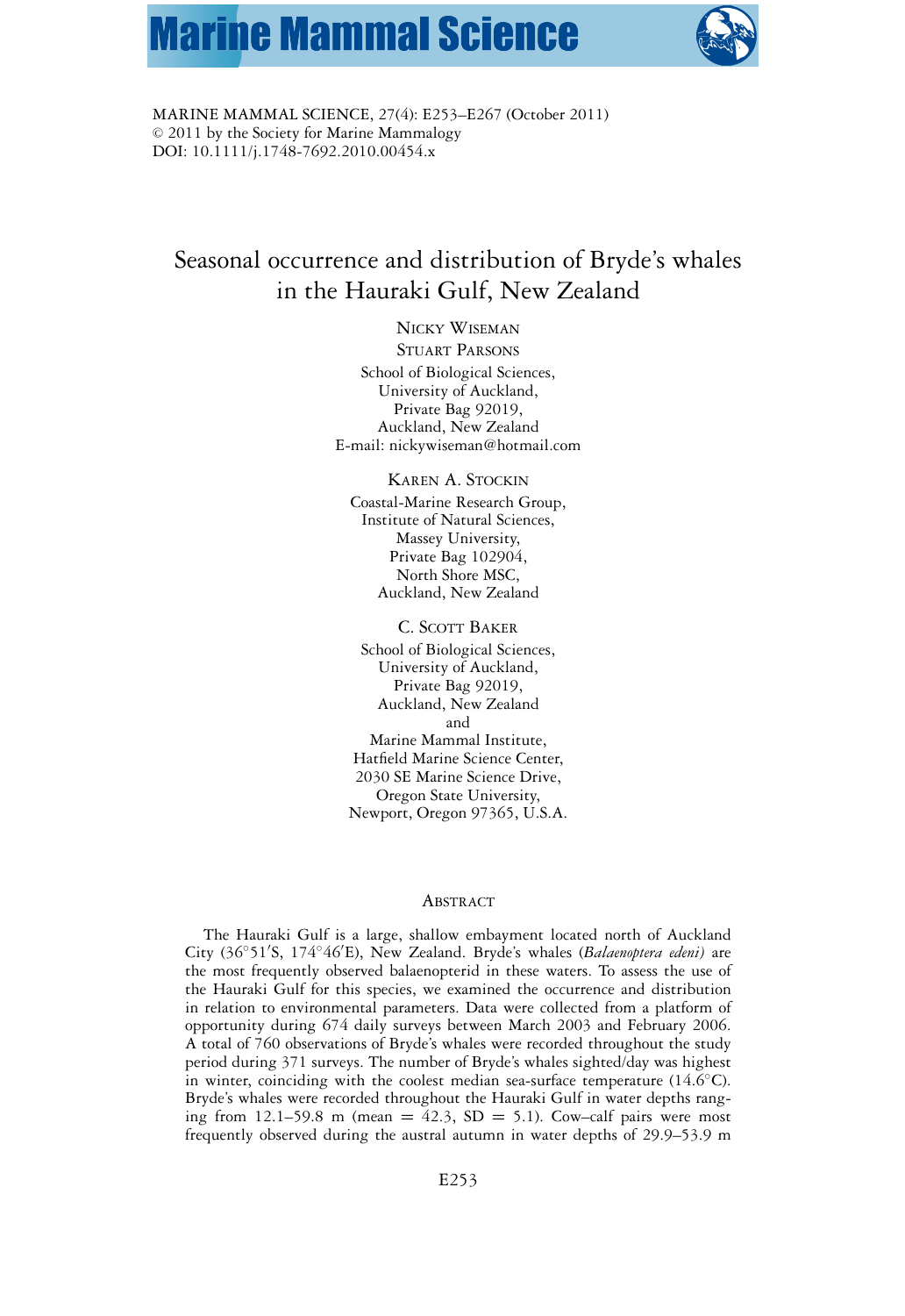# **Marine Mammal Science**



MARINE MAMMAL SCIENCE, 27(4): E253–E267 (October 2011)  $© 2011$  by the Society for Marine Mammalogy DOI: 10.1111/j.1748-7692.2010.00454.x

# Seasonal occurrence and distribution of Bryde's whales in the Hauraki Gulf, New Zealand

NICKY WISEMAN

STUART PARSONS School of Biological Sciences, University of Auckland, Private Bag 92019, Auckland, New Zealand E-mail: nickywiseman@hotmail.com

KAREN A. STOCKIN

Coastal-Marine Research Group, Institute of Natural Sciences, Massey University, Private Bag 102904, North Shore MSC, Auckland, New Zealand

C. SCOTT BAKER

School of Biological Sciences, University of Auckland, Private Bag 92019, Auckland, New Zealand and Marine Mammal Institute, Hatfield Marine Science Center, 2030 SE Marine Science Drive, Oregon State University, Newport, Oregon 97365, U.S.A.

#### ABSTRACT

The Hauraki Gulf is a large, shallow embayment located north of Auckland City (36◦51 S, 174◦46 E), New Zealand. Bryde's whales (*Balaenoptera edeni)* are the most frequently observed balaenopterid in these waters. To assess the use of the Hauraki Gulf for this species, we examined the occurrence and distribution in relation to environmental parameters. Data were collected from a platform of opportunity during 674 daily surveys between March 2003 and February 2006. A total of 760 observations of Bryde's whales were recorded throughout the study period during 371 surveys. The number of Bryde's whales sighted/day was highest in winter, coinciding with the coolest median sea-surface temperature  $(14.6 °C)$ . Bryde's whales were recorded throughout the Hauraki Gulf in water depths ranging from 12.1–59.8 m (mean  $= 42.3$ , SD  $= 5.1$ ). Cow–calf pairs were most frequently observed during the austral autumn in water depths of 29.9–53.9 m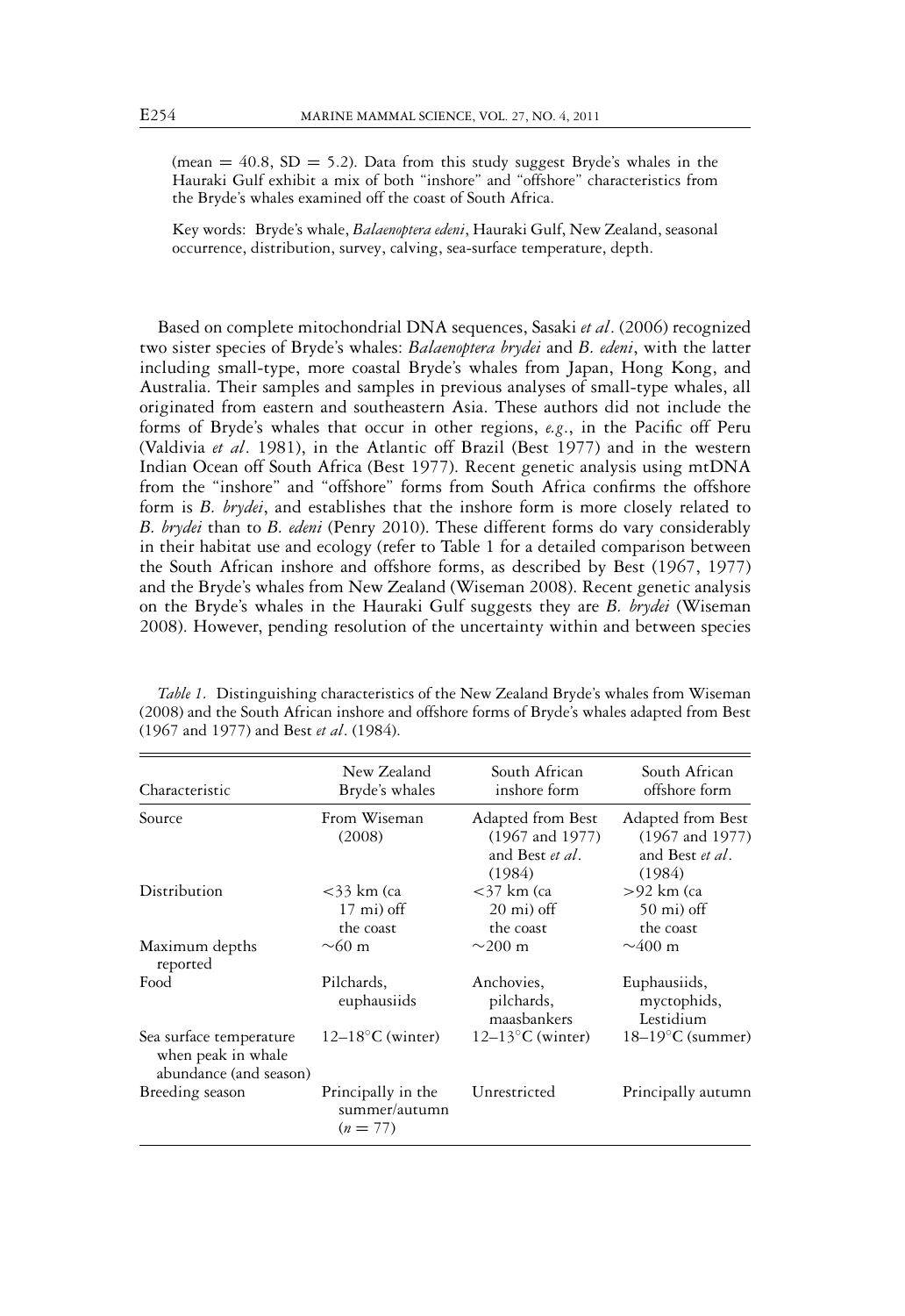(mean  $= 40.8$ , SD  $= 5.2$ ). Data from this study suggest Bryde's whales in the Hauraki Gulf exhibit a mix of both "inshore" and "offshore" characteristics from the Bryde's whales examined off the coast of South Africa.

Key words: Bryde's whale, *Balaenoptera edeni*, Hauraki Gulf, New Zealand, seasonal occurrence, distribution, survey, calving, sea-surface temperature, depth.

Based on complete mitochondrial DNA sequences, Sasaki *et al*. (2006) recognized two sister species of Bryde's whales: *Balaenoptera brydei* and *B. edeni*, with the latter including small-type, more coastal Bryde's whales from Japan, Hong Kong, and Australia. Their samples and samples in previous analyses of small-type whales, all originated from eastern and southeastern Asia. These authors did not include the forms of Bryde's whales that occur in other regions, *e.g*., in the Pacific off Peru (Valdivia *et al*. 1981), in the Atlantic off Brazil (Best 1977) and in the western Indian Ocean off South Africa (Best 1977). Recent genetic analysis using mtDNA from the "inshore" and "offshore" forms from South Africa confirms the offshore form is *B. brydei*, and establishes that the inshore form is more closely related to *B. brydei* than to *B. edeni* (Penry 2010). These different forms do vary considerably in their habitat use and ecology (refer to Table 1 for a detailed comparison between the South African inshore and offshore forms, as described by Best (1967, 1977) and the Bryde's whales from New Zealand (Wiseman 2008). Recent genetic analysis on the Bryde's whales in the Hauraki Gulf suggests they are *B. brydei* (Wiseman 2008). However, pending resolution of the uncertainty within and between species

| Characteristic                                                          | New Zealand<br>Bryde's whales                       | South African<br>inshore form                                                | South African<br>offshore form                                               |
|-------------------------------------------------------------------------|-----------------------------------------------------|------------------------------------------------------------------------------|------------------------------------------------------------------------------|
| Source                                                                  | From Wiseman<br>(2008)                              | Adapted from Best<br>$(1967 \text{ and } 1977)$<br>and Best et al.<br>(1984) | Adapted from Best<br>$(1967 \text{ and } 1977)$<br>and Best et al.<br>(1984) |
| Distribution                                                            | $<$ 33 km (ca<br>$17 \text{ mi}$ ) off<br>the coast | $<$ 37 km (ca<br>$20 \text{ mi}$ ) off<br>the coast                          | >92 km (ca<br>$50$ mi) off<br>the coast                                      |
| Maximum depths<br>reported                                              | $\sim$ 60 m                                         | $\sim$ 200 m                                                                 | $\sim$ 400 m                                                                 |
| Food                                                                    | Pilchards,<br>euphausiids                           | Anchovies,<br>pilchards,<br>maasbankers                                      | Euphausiids,<br>myctophids,<br>Lestidium                                     |
| Sea surface temperature<br>when peak in whale<br>abundance (and season) | $12-18$ °C (winter)                                 | $12-13$ °C (winter)                                                          | $18-19$ °C (summer)                                                          |
| Breeding season                                                         | Principally in the<br>summer/autumn<br>$(n = 77)$   | Unrestricted                                                                 | Principally autumn                                                           |

*Table 1.* Distinguishing characteristics of the New Zealand Bryde's whales from Wiseman (2008) and the South African inshore and offshore forms of Bryde's whales adapted from Best (1967 and 1977) and Best *et al*. (1984).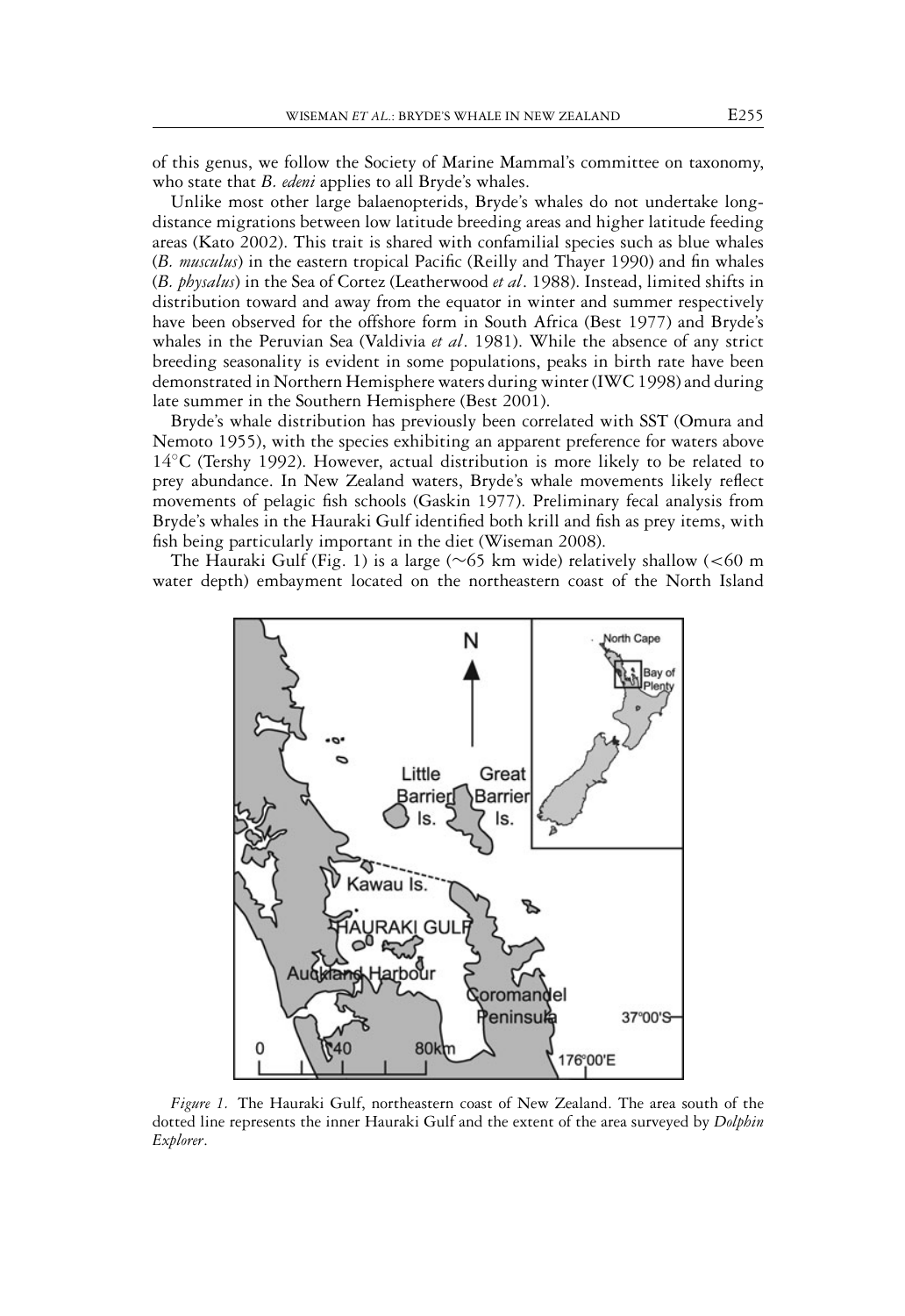of this genus, we follow the Society of Marine Mammal's committee on taxonomy, who state that *B. edeni* applies to all Bryde's whales.

Unlike most other large balaenopterids, Bryde's whales do not undertake longdistance migrations between low latitude breeding areas and higher latitude feeding areas (Kato 2002). This trait is shared with confamilial species such as blue whales (*B. musculus*) in the eastern tropical Pacific (Reilly and Thayer 1990) and fin whales (*B. physalus*) in the Sea of Cortez (Leatherwood *et al*. 1988). Instead, limited shifts in distribution toward and away from the equator in winter and summer respectively have been observed for the offshore form in South Africa (Best 1977) and Bryde's whales in the Peruvian Sea (Valdivia *et al*. 1981). While the absence of any strict breeding seasonality is evident in some populations, peaks in birth rate have been demonstrated in Northern Hemisphere waters during winter (IWC 1998) and during late summer in the Southern Hemisphere (Best 2001).

Bryde's whale distribution has previously been correlated with SST (Omura and Nemoto 1955), with the species exhibiting an apparent preference for waters above 14◦C (Tershy 1992). However, actual distribution is more likely to be related to prey abundance. In New Zealand waters, Bryde's whale movements likely reflect movements of pelagic fish schools (Gaskin 1977). Preliminary fecal analysis from Bryde's whales in the Hauraki Gulf identified both krill and fish as prey items, with fish being particularly important in the diet (Wiseman 2008).

The Hauraki Gulf (Fig. 1) is a large (∼65 km wide) relatively shallow (<60 m water depth) embayment located on the northeastern coast of the North Island



*Figure 1.* The Hauraki Gulf, northeastern coast of New Zealand. The area south of the dotted line represents the inner Hauraki Gulf and the extent of the area surveyed by *Dolphin Explorer*.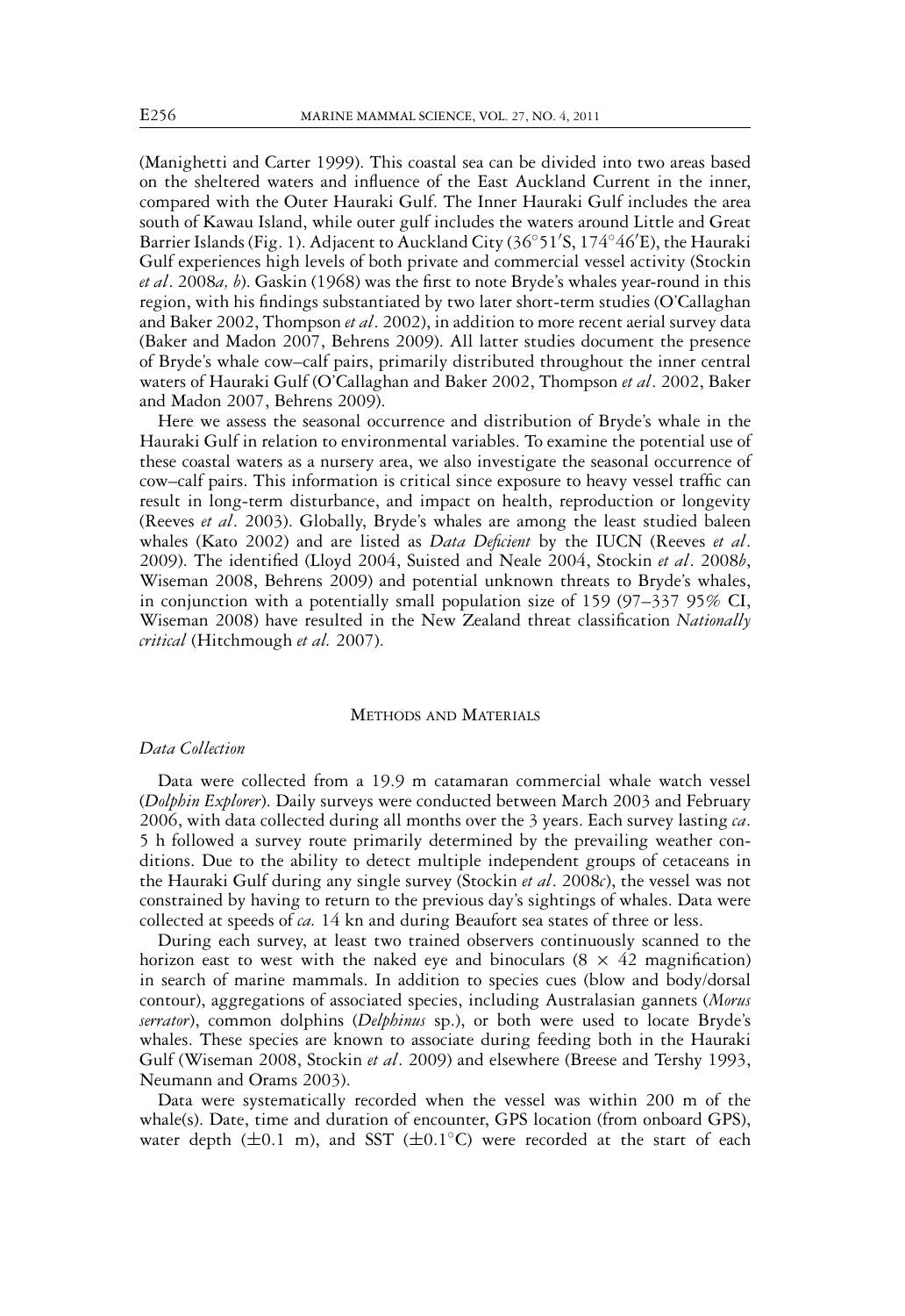(Manighetti and Carter 1999). This coastal sea can be divided into two areas based on the sheltered waters and influence of the East Auckland Current in the inner, compared with the Outer Hauraki Gulf. The Inner Hauraki Gulf includes the area south of Kawau Island, while outer gulf includes the waters around Little and Great Barrier Islands (Fig. 1). Adjacent to Auckland City (36◦51 S, 174◦46 E), the Hauraki Gulf experiences high levels of both private and commercial vessel activity (Stockin *et al*. 2008*a, b*). Gaskin (1968) was the first to note Bryde's whales year-round in this region, with his findings substantiated by two later short-term studies (O'Callaghan and Baker 2002, Thompson *et al*. 2002), in addition to more recent aerial survey data (Baker and Madon 2007, Behrens 2009). All latter studies document the presence of Bryde's whale cow–calf pairs, primarily distributed throughout the inner central waters of Hauraki Gulf (O'Callaghan and Baker 2002, Thompson *et al*. 2002, Baker and Madon 2007, Behrens 2009).

Here we assess the seasonal occurrence and distribution of Bryde's whale in the Hauraki Gulf in relation to environmental variables. To examine the potential use of these coastal waters as a nursery area, we also investigate the seasonal occurrence of cow–calf pairs. This information is critical since exposure to heavy vessel traffic can result in long-term disturbance, and impact on health, reproduction or longevity (Reeves *et al*. 2003). Globally, Bryde's whales are among the least studied baleen whales (Kato 2002) and are listed as *Data Deficient* by the IUCN (Reeves *et al*. 2009). The identified (Lloyd 2004, Suisted and Neale 2004, Stockin *et al*. 2008*b*, Wiseman 2008, Behrens 2009) and potential unknown threats to Bryde's whales, in conjunction with a potentially small population size of 159 (97–337 95% CI, Wiseman 2008) have resulted in the New Zealand threat classification *Nationally critical* (Hitchmough *et al.* 2007).

# METHODS AND MATERIALS

# *Data Collection*

Data were collected from a 19.9 m catamaran commercial whale watch vessel (*Dolphin Explorer*). Daily surveys were conducted between March 2003 and February 2006, with data collected during all months over the 3 years. Each survey lasting *ca*. 5 h followed a survey route primarily determined by the prevailing weather conditions. Due to the ability to detect multiple independent groups of cetaceans in the Hauraki Gulf during any single survey (Stockin *et al*. 2008*c*), the vessel was not constrained by having to return to the previous day's sightings of whales. Data were collected at speeds of *ca.* 14 kn and during Beaufort sea states of three or less.

During each survey, at least two trained observers continuously scanned to the horizon east to west with the naked eye and binoculars  $(8 \times 42$  magnification) in search of marine mammals. In addition to species cues (blow and body/dorsal contour), aggregations of associated species, including Australasian gannets (*Morus serrator*), common dolphins (*Delphinus* sp.), or both were used to locate Bryde's whales. These species are known to associate during feeding both in the Hauraki Gulf (Wiseman 2008, Stockin *et al*. 2009) and elsewhere (Breese and Tershy 1993, Neumann and Orams 2003).

Data were systematically recorded when the vessel was within 200 m of the whale(s). Date, time and duration of encounter, GPS location (from onboard GPS), water depth ( $\pm 0.1$  m), and SST ( $\pm 0.1$ °C) were recorded at the start of each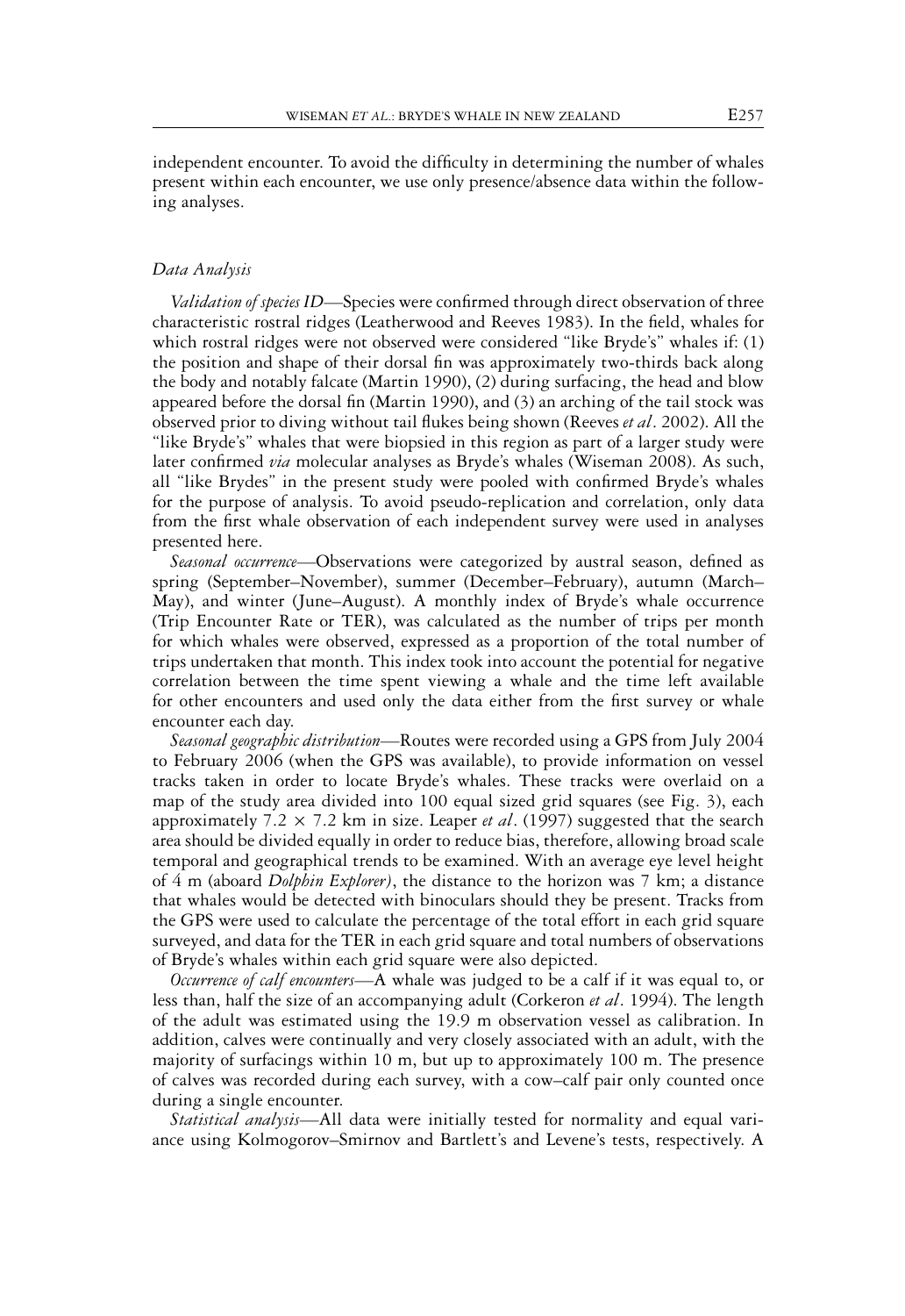independent encounter. To avoid the difficulty in determining the number of whales present within each encounter, we use only presence/absence data within the following analyses.

# *Data Analysis*

*Validation of species ID—*Species were confirmed through direct observation of three characteristic rostral ridges (Leatherwood and Reeves 1983). In the field, whales for which rostral ridges were not observed were considered "like Bryde's" whales if: (1) the position and shape of their dorsal fin was approximately two-thirds back along the body and notably falcate (Martin 1990), (2) during surfacing, the head and blow appeared before the dorsal fin (Martin 1990), and (3) an arching of the tail stock was observed prior to diving without tail flukes being shown (Reeves *et al*. 2002). All the "like Bryde's" whales that were biopsied in this region as part of a larger study were later confirmed *via* molecular analyses as Bryde's whales (Wiseman 2008). As such, all "like Brydes" in the present study were pooled with confirmed Bryde's whales for the purpose of analysis. To avoid pseudo-replication and correlation, only data from the first whale observation of each independent survey were used in analyses presented here.

*Seasonal occurrence—*Observations were categorized by austral season, defined as spring (September–November), summer (December–February), autumn (March– May), and winter (June–August). A monthly index of Bryde's whale occurrence (Trip Encounter Rate or TER), was calculated as the number of trips per month for which whales were observed, expressed as a proportion of the total number of trips undertaken that month. This index took into account the potential for negative correlation between the time spent viewing a whale and the time left available for other encounters and used only the data either from the first survey or whale encounter each day.

*Seasonal geographic distribution—*Routes were recorded using a GPS from July 2004 to February 2006 (when the GPS was available), to provide information on vessel tracks taken in order to locate Bryde's whales. These tracks were overlaid on a map of the study area divided into 100 equal sized grid squares (see Fig. 3), each approximately 7.2 × 7.2 km in size. Leaper *et al*. (1997) suggested that the search area should be divided equally in order to reduce bias, therefore, allowing broad scale temporal and geographical trends to be examined. With an average eye level height of 4 m (aboard *Dolphin Explorer)*, the distance to the horizon was 7 km; a distance that whales would be detected with binoculars should they be present. Tracks from the GPS were used to calculate the percentage of the total effort in each grid square surveyed, and data for the TER in each grid square and total numbers of observations of Bryde's whales within each grid square were also depicted.

*Occurrence of calf encounters—*A whale was judged to be a calf if it was equal to, or less than, half the size of an accompanying adult (Corkeron *et al*. 1994). The length of the adult was estimated using the 19.9 m observation vessel as calibration. In addition, calves were continually and very closely associated with an adult, with the majority of surfacings within 10 m, but up to approximately 100 m. The presence of calves was recorded during each survey, with a cow–calf pair only counted once during a single encounter.

*Statistical analysis—*All data were initially tested for normality and equal variance using Kolmogorov–Smirnov and Bartlett's and Levene's tests, respectively. A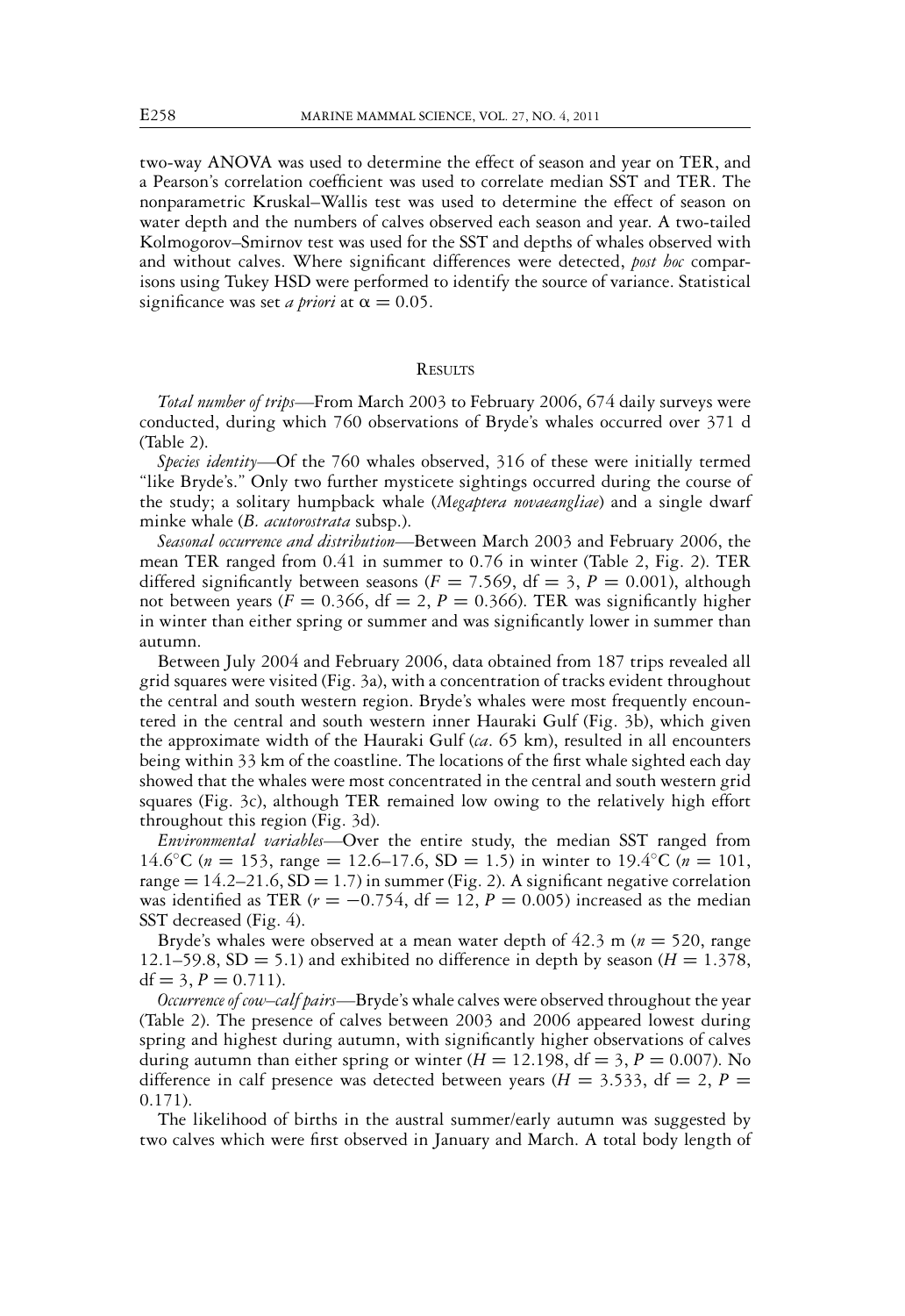two-way ANOVA was used to determine the effect of season and year on TER, and a Pearson's correlation coefficient was used to correlate median SST and TER. The nonparametric Kruskal–Wallis test was used to determine the effect of season on water depth and the numbers of calves observed each season and year. A two-tailed Kolmogorov–Smirnov test was used for the SST and depths of whales observed with and without calves. Where significant differences were detected, *post hoc* comparisons using Tukey HSD were performed to identify the source of variance. Statistical significance was set *a priori* at  $\alpha = 0.05$ .

### **RESULTS**

*Total number of trips—*From March 2003 to February 2006, 674 daily surveys were conducted, during which 760 observations of Bryde's whales occurred over 371 d (Table 2).

*Species identity—*Of the 760 whales observed, 316 of these were initially termed "like Bryde's." Only two further mysticete sightings occurred during the course of the study; a solitary humpback whale (*Megaptera novaeangliae*) and a single dwarf minke whale (*B. acutorostrata* subsp.).

*Seasonal occurrence and distribution—*Between March 2003 and February 2006, the mean TER ranged from 0.41 in summer to 0.76 in winter (Table 2, Fig. 2). TER differed significantly between seasons ( $F = 7.569$ , df = 3,  $P = 0.001$ ), although not between years ( $F = 0.366$ ,  $df = 2$ ,  $P = 0.366$ ). TER was significantly higher in winter than either spring or summer and was significantly lower in summer than autumn.

Between July 2004 and February 2006, data obtained from 187 trips revealed all grid squares were visited (Fig. 3a), with a concentration of tracks evident throughout the central and south western region. Bryde's whales were most frequently encountered in the central and south western inner Hauraki Gulf (Fig. 3b), which given the approximate width of the Hauraki Gulf (*ca*. 65 km), resulted in all encounters being within 33 km of the coastline. The locations of the first whale sighted each day showed that the whales were most concentrated in the central and south western grid squares (Fig. 3c), although TER remained low owing to the relatively high effort throughout this region (Fig. 3d).

*Environmental variables—*Over the entire study, the median SST ranged from 14.6<sup>o</sup>C ( $n = 153$ , range = 12.6–17.6, SD = 1.5) in winter to 19.4<sup>o</sup>C ( $n = 101$ , range  $= 14.2 - 21.6$ , SD  $= 1.7$ ) in summer (Fig. 2). A significant negative correlation was identified as TER  $(r = -0.754, df = 12, P = 0.005)$  increased as the median SST decreased (Fig. 4).

Bryde's whales were observed at a mean water depth of 42.3 m (*n* = 520, range 12.1–59.8, SD = 5.1) and exhibited no difference in depth by season  $(H = 1.378)$ ,  $df = 3, P = 0.711$ .

*Occurrence of cow–calf pairs—*Bryde's whale calves were observed throughout the year (Table 2). The presence of calves between 2003 and 2006 appeared lowest during spring and highest during autumn, with significantly higher observations of calves during autumn than either spring or winter  $(H = 12.198, df = 3, P = 0.007)$ . No difference in calf presence was detected between years ( $H = 3.533$ , df = 2, P = 0.171).

The likelihood of births in the austral summer/early autumn was suggested by two calves which were first observed in January and March. A total body length of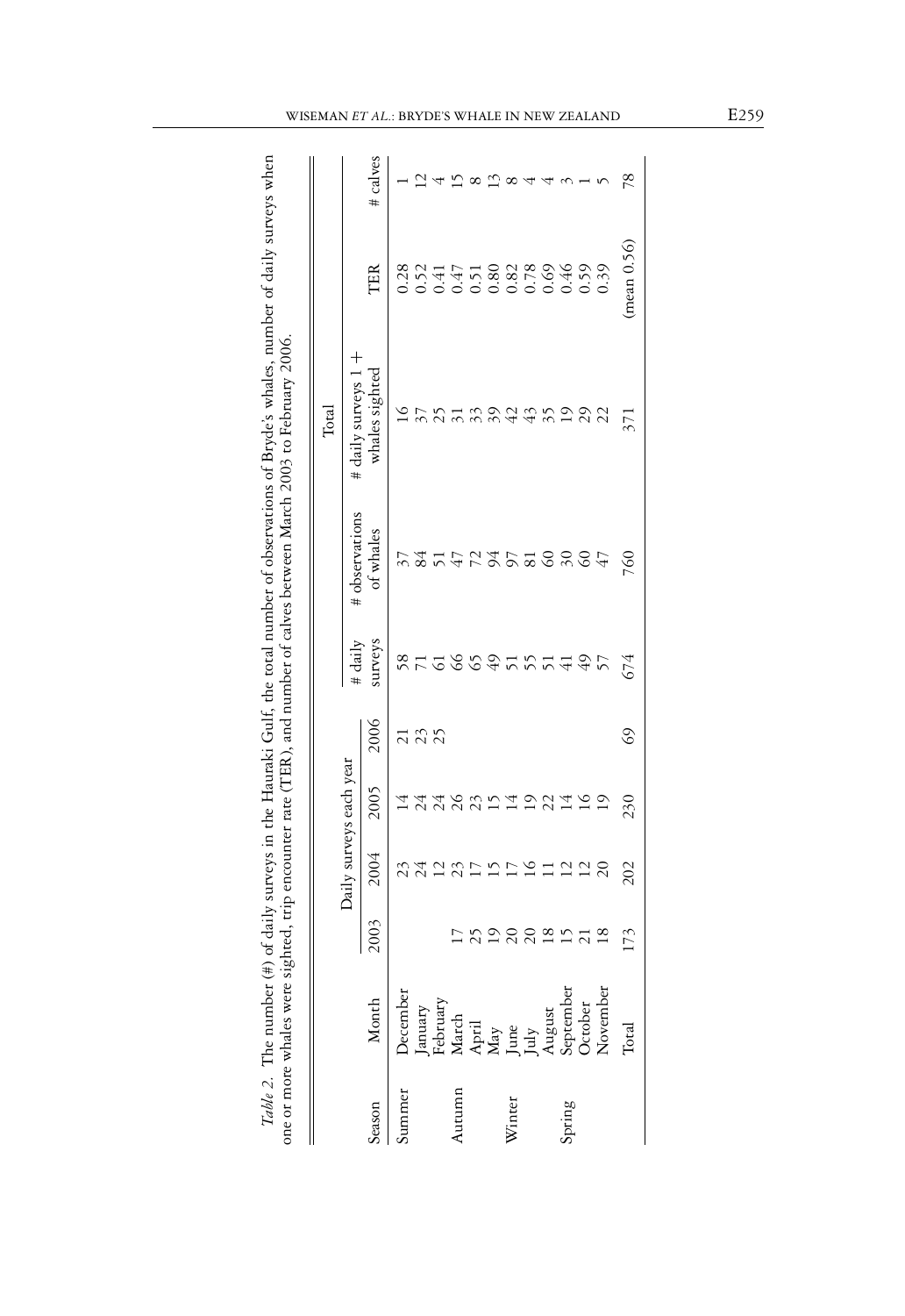|        |                                                                                                                                                                                                                                                                                                                                                                                                                                                                |           |                         |                |                 |               |                        | Total               |            |                   |
|--------|----------------------------------------------------------------------------------------------------------------------------------------------------------------------------------------------------------------------------------------------------------------------------------------------------------------------------------------------------------------------------------------------------------------------------------------------------------------|-----------|-------------------------|----------------|-----------------|---------------|------------------------|---------------------|------------|-------------------|
|        |                                                                                                                                                                                                                                                                                                                                                                                                                                                                |           | Daily surveys each year |                |                 | # daily       | # observations         | # daily surveys 1 + |            |                   |
| eason  |                                                                                                                                                                                                                                                                                                                                                                                                                                                                |           | 2004                    | 2005           | 2006            | surveys       | of $w$ a $ e$ s        | hales sighted       | TER        | # calves          |
| ummer  | $\begin{tabular}{l} & {\bf{Month}} \\ {\bf{December}} \\ {\bf{I.} } \\ {\bf{F.} } \\ {\bf{Martv}} \\ {\bf{Martv}} \\ {\bf{May}} \\ {\bf{May}} \\ {\bf{May}} \\ {\bf{May}} \\ {\bf{May}} \\ {\bf{May}} \\ {\bf{May}} \\ {\bf{May}} \\ {\bf{May}} \\ {\bf{May}} \\ {\bf{May}} \\ {\bf{May}} \\ {\bf{May}} \\ {\bf{May}} \\ {\bf{May}} \\ {\bf{May}} \\ {\bf{May}} \\ {\bf{May}} \\ {\bf{May}} \\ {\bf{May}} \\ {\bf{May}} \\ {\bf{May}} \\ {\bf{May}} \\ {\bf{M$ |           |                         |                |                 | 58            |                        |                     |            |                   |
|        |                                                                                                                                                                                                                                                                                                                                                                                                                                                                |           |                         |                | $\frac{21}{23}$ |               |                        |                     |            |                   |
|        |                                                                                                                                                                                                                                                                                                                                                                                                                                                                |           |                         |                |                 |               | 51                     |                     |            |                   |
| Autumn |                                                                                                                                                                                                                                                                                                                                                                                                                                                                |           |                         |                |                 | $\frac{6}{6}$ |                        |                     |            |                   |
|        |                                                                                                                                                                                                                                                                                                                                                                                                                                                                | 202020122 | おみにおけりけいけに28            | おみとおりはりひは      |                 |               |                        |                     |            |                   |
|        |                                                                                                                                                                                                                                                                                                                                                                                                                                                                |           |                         |                |                 |               |                        |                     |            |                   |
| Winter |                                                                                                                                                                                                                                                                                                                                                                                                                                                                |           |                         |                |                 |               |                        |                     |            |                   |
|        |                                                                                                                                                                                                                                                                                                                                                                                                                                                                |           |                         |                |                 |               |                        | $\frac{3}{4}$       |            | $\infty$ 4        |
|        |                                                                                                                                                                                                                                                                                                                                                                                                                                                                |           |                         |                |                 |               |                        |                     |            |                   |
| Spring |                                                                                                                                                                                                                                                                                                                                                                                                                                                                |           |                         |                |                 | ついろりはやり       | 2222222                | 35                  |            |                   |
|        |                                                                                                                                                                                                                                                                                                                                                                                                                                                                |           |                         | $\frac{6}{1}$  |                 |               | $rac{47}{47}$          | 29                  |            | $\omega - \omega$ |
|        |                                                                                                                                                                                                                                                                                                                                                                                                                                                                |           |                         | $\overline{1}$ |                 |               |                        | 22                  |            |                   |
|        | <b>Lotal</b>                                                                                                                                                                                                                                                                                                                                                                                                                                                   | 173       | 202                     | 230            | $\mathcal{S}$   | 674           | $\mathcal{S}^{\prime}$ | 371                 | mean(0.56) | 78                |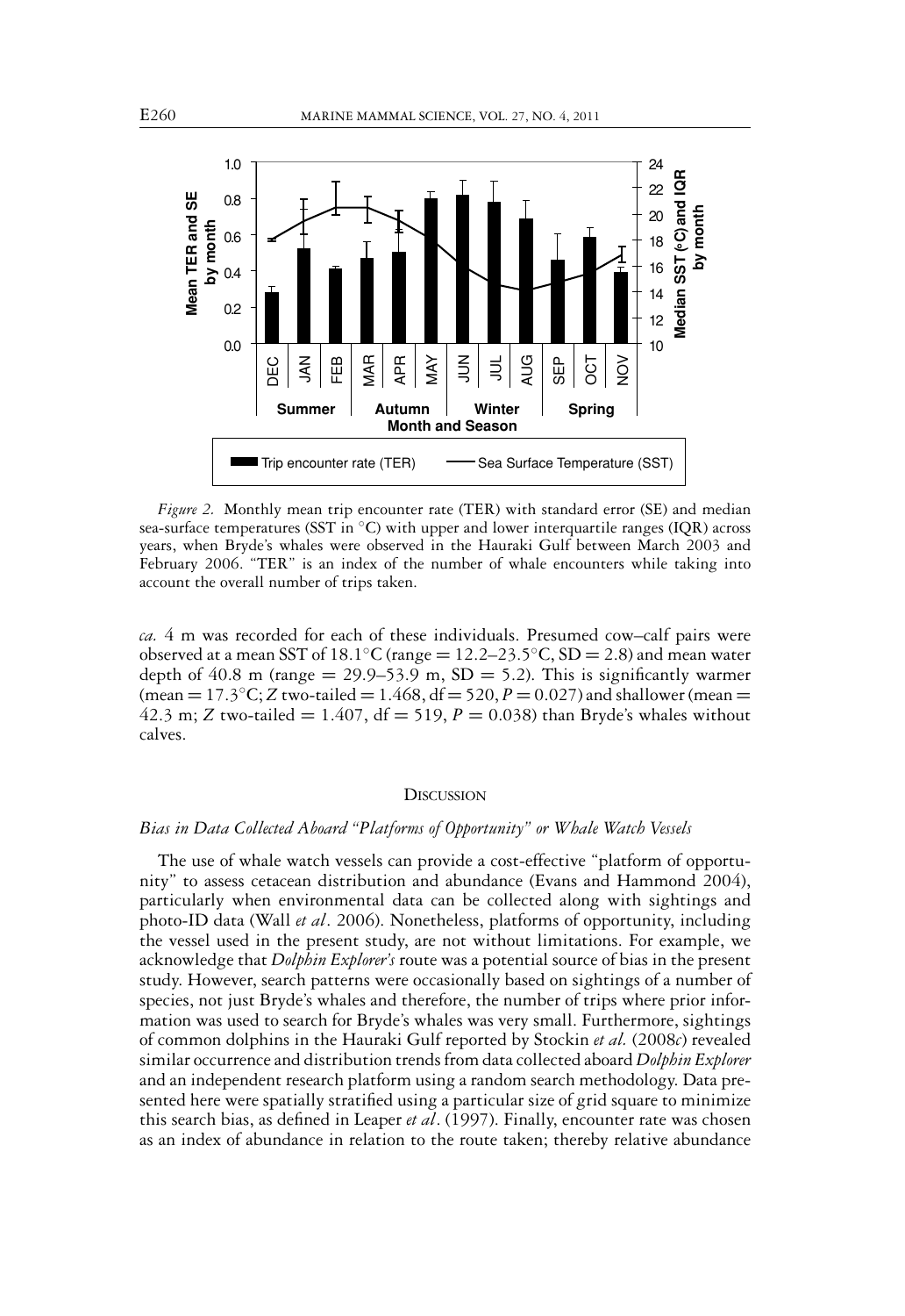

*Figure 2.* Monthly mean trip encounter rate (TER) with standard error (SE) and median sea-surface temperatures (SST in °C) with upper and lower interquartile ranges (IQR) across years, when Bryde's whales were observed in the Hauraki Gulf between March 2003 and February 2006. "TER" is an index of the number of whale encounters while taking into account the overall number of trips taken.

*ca.* 4 m was recorded for each of these individuals. Presumed cow–calf pairs were observed at a mean SST of 18.1 $°C$  (range = 12.2–23.5 $°C$ , SD = 2.8) and mean water depth of  $40.8$  m (range = 29.9–53.9 m, SD = 5.2). This is significantly warmer  $(mean = 17.3 °C; Z two-tailed = 1.468, df = 520, P = 0.027)$  and shallower (mean = 42.3 m; *Z* two-tailed = 1.407,  $df = 519$ ,  $P = 0.038$ ) than Bryde's whales without calves.

#### **DISCUSSION**

#### *Bias in Data Collected Aboard "Platforms of Opportunity" or Whale Watch Vessels*

The use of whale watch vessels can provide a cost-effective "platform of opportunity" to assess cetacean distribution and abundance (Evans and Hammond 2004), particularly when environmental data can be collected along with sightings and photo-ID data (Wall *et al*. 2006). Nonetheless, platforms of opportunity, including the vessel used in the present study, are not without limitations. For example, we acknowledge that *Dolphin Explorer's* route was a potential source of bias in the present study. However, search patterns were occasionally based on sightings of a number of species, not just Bryde's whales and therefore, the number of trips where prior information was used to search for Bryde's whales was very small. Furthermore, sightings of common dolphins in the Hauraki Gulf reported by Stockin *et al.* (2008*c*) revealed similar occurrence and distribution trends from data collected aboard *Dolphin Explorer* and an independent research platform using a random search methodology. Data presented here were spatially stratified using a particular size of grid square to minimize this search bias, as defined in Leaper *et al*. (1997). Finally, encounter rate was chosen as an index of abundance in relation to the route taken; thereby relative abundance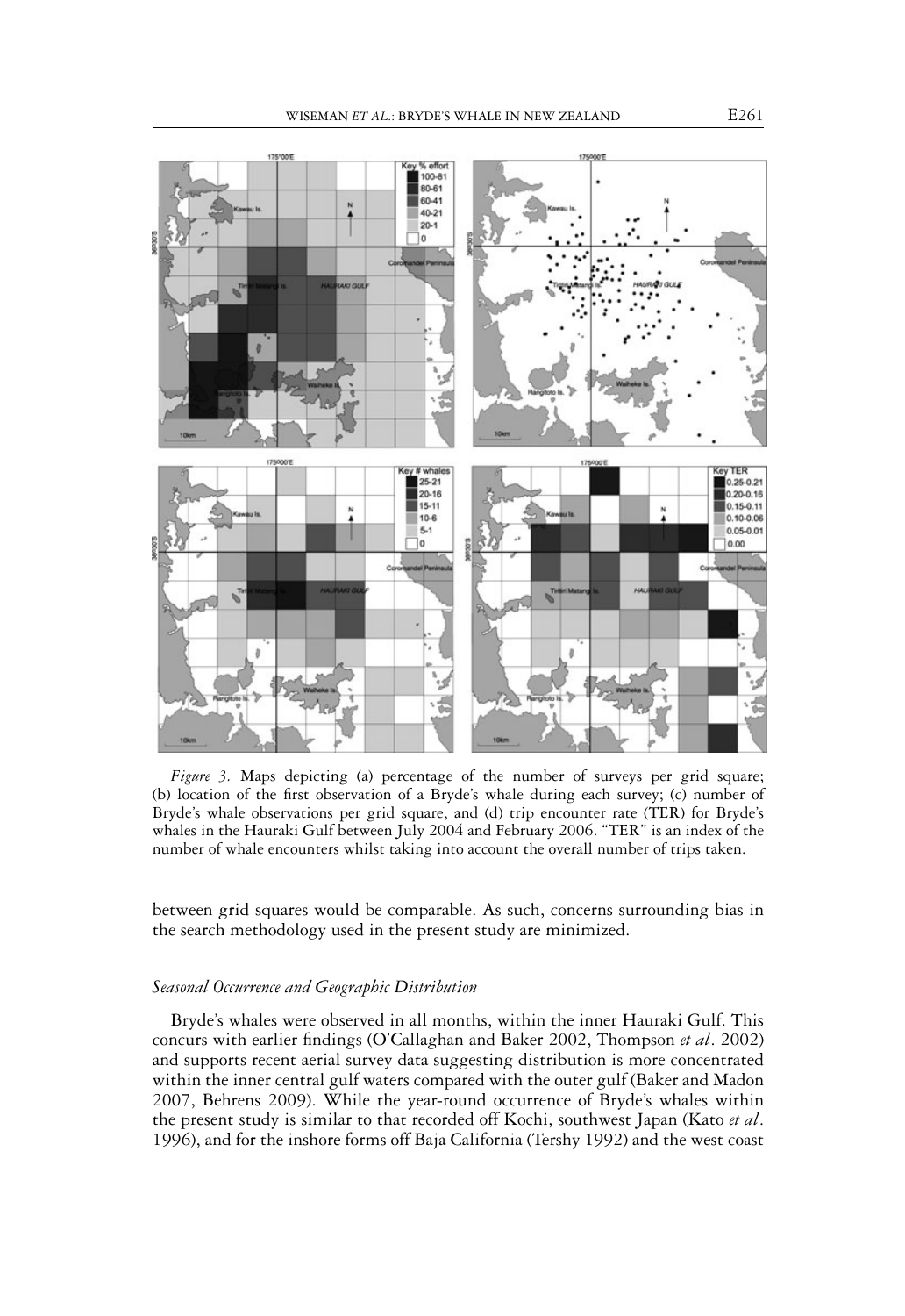

*Figure 3.* Maps depicting (a) percentage of the number of surveys per grid square; (b) location of the first observation of a Bryde's whale during each survey; (c) number of Bryde's whale observations per grid square, and (d) trip encounter rate (TER) for Bryde's whales in the Hauraki Gulf between July 2004 and February 2006. "TER" is an index of the number of whale encounters whilst taking into account the overall number of trips taken.

between grid squares would be comparable. As such, concerns surrounding bias in the search methodology used in the present study are minimized.

#### *Seasonal Occurrence and Geographic Distribution*

Bryde's whales were observed in all months, within the inner Hauraki Gulf. This concurs with earlier findings (O'Callaghan and Baker 2002, Thompson *et al*. 2002) and supports recent aerial survey data suggesting distribution is more concentrated within the inner central gulf waters compared with the outer gulf (Baker and Madon 2007, Behrens 2009). While the year-round occurrence of Bryde's whales within the present study is similar to that recorded off Kochi, southwest Japan (Kato *et al*. 1996), and for the inshore forms off Baja California (Tershy 1992) and the west coast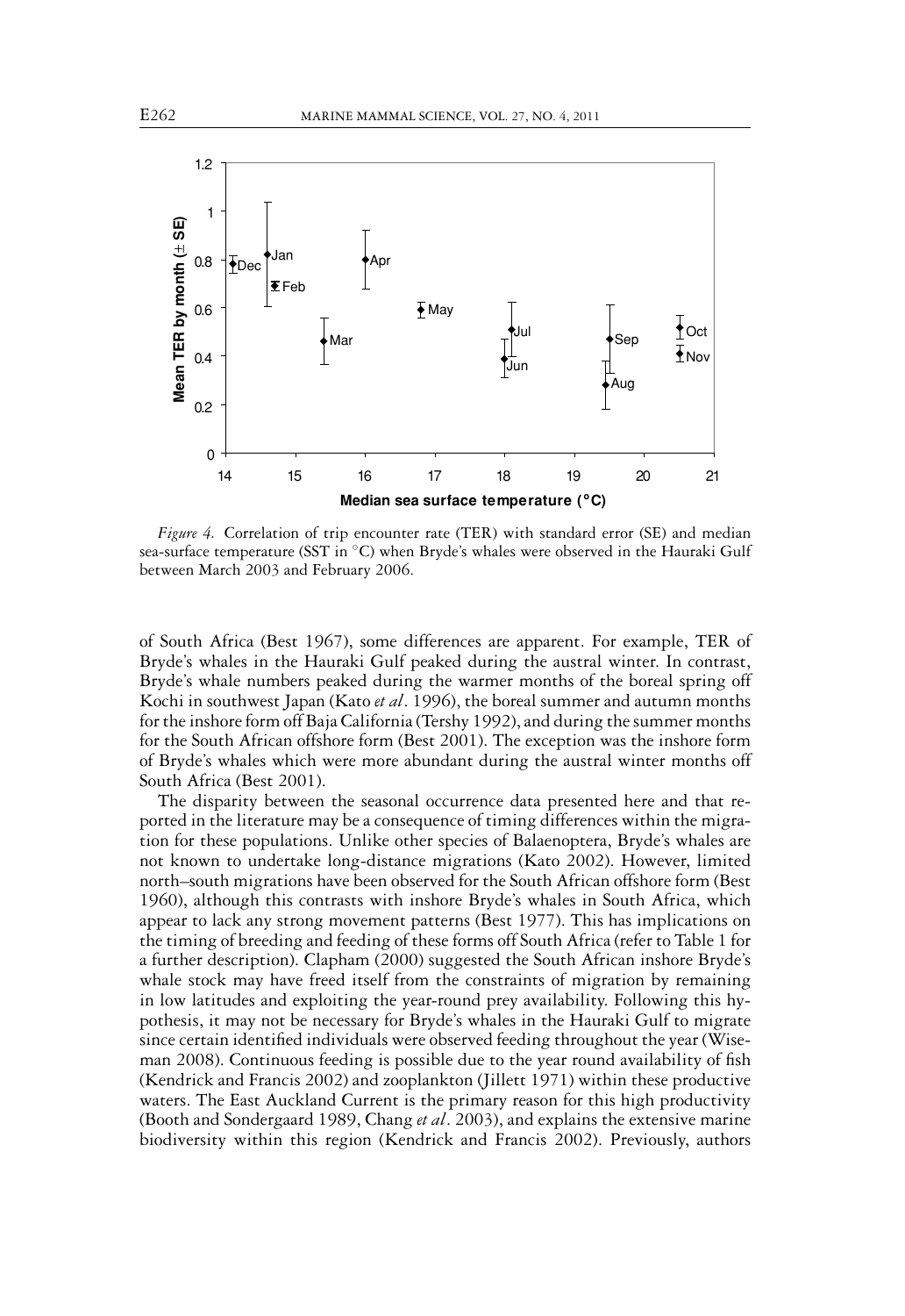

*Figure 4.* Correlation of trip encounter rate (TER) with standard error (SE) and median sea-surface temperature (SST in °C) when Bryde's whales were observed in the Hauraki Gulf between March 2003 and February 2006.

of South Africa (Best 1967), some differences are apparent. For example, TER of Bryde's whales in the Hauraki Gulf peaked during the austral winter. In contrast, Bryde's whale numbers peaked during the warmer months of the boreal spring off Kochi in southwest Japan (Kato *et al*. 1996), the boreal summer and autumn months for the inshore form off Baja California (Tershy 1992), and during the summer months for the South African offshore form (Best 2001). The exception was the inshore form of Bryde's whales which were more abundant during the austral winter months off South Africa (Best 2001).

The disparity between the seasonal occurrence data presented here and that reported in the literature may be a consequence of timing differences within the migration for these populations. Unlike other species of Balaenoptera, Bryde's whales are not known to undertake long-distance migrations (Kato 2002). However, limited north–south migrations have been observed for the South African offshore form (Best 1960), although this contrasts with inshore Bryde's whales in South Africa, which appear to lack any strong movement patterns (Best 1977). This has implications on the timing of breeding and feeding of these forms off South Africa (refer to Table 1 for a further description). Clapham (2000) suggested the South African inshore Bryde's whale stock may have freed itself from the constraints of migration by remaining in low latitudes and exploiting the year-round prey availability. Following this hypothesis, it may not be necessary for Bryde's whales in the Hauraki Gulf to migrate since certain identified individuals were observed feeding throughout the year (Wiseman 2008). Continuous feeding is possible due to the year round availability of fish (Kendrick and Francis 2002) and zooplankton (Jillett 1971) within these productive waters. The East Auckland Current is the primary reason for this high productivity (Booth and Sondergaard 1989, Chang *et al*. 2003), and explains the extensive marine biodiversity within this region (Kendrick and Francis 2002). Previously, authors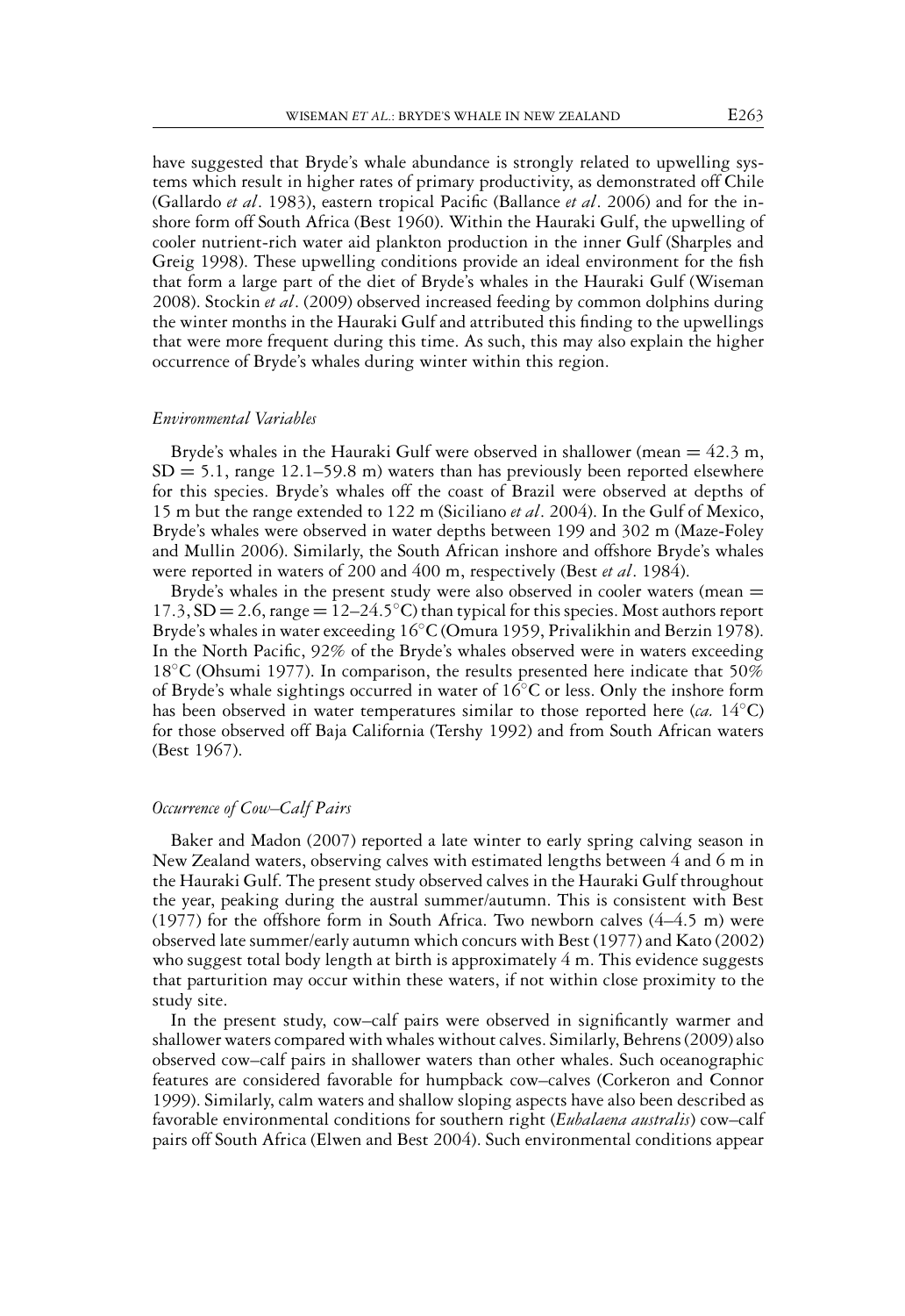have suggested that Bryde's whale abundance is strongly related to upwelling systems which result in higher rates of primary productivity, as demonstrated off Chile (Gallardo *et al*. 1983), eastern tropical Pacific (Ballance *et al*. 2006) and for the inshore form off South Africa (Best 1960). Within the Hauraki Gulf, the upwelling of cooler nutrient-rich water aid plankton production in the inner Gulf (Sharples and Greig 1998). These upwelling conditions provide an ideal environment for the fish that form a large part of the diet of Bryde's whales in the Hauraki Gulf (Wiseman 2008). Stockin *et al*. (2009) observed increased feeding by common dolphins during the winter months in the Hauraki Gulf and attributed this finding to the upwellings that were more frequent during this time. As such, this may also explain the higher occurrence of Bryde's whales during winter within this region.

## *Environmental Variables*

Bryde's whales in the Hauraki Gulf were observed in shallower (mean  $= 42.3$  m,  $SD = 5.1$ , range 12.1–59.8 m) waters than has previously been reported elsewhere for this species. Bryde's whales off the coast of Brazil were observed at depths of 15 m but the range extended to 122 m (Siciliano *et al*. 2004). In the Gulf of Mexico, Bryde's whales were observed in water depths between 199 and 302 m (Maze-Foley and Mullin 2006). Similarly, the South African inshore and offshore Bryde's whales were reported in waters of 200 and 400 m, respectively (Best *et al*. 1984).

Bryde's whales in the present study were also observed in cooler waters (mean =  $17.3$ ,  $SD = 2.6$ , range  $= 12-24.5 °C$ ) than typical for this species. Most authors report Bryde's whales in water exceeding 16◦C (Omura 1959, Privalikhin and Berzin 1978). In the North Pacific, 92% of the Bryde's whales observed were in waters exceeding 18<sup>°</sup>C (Ohsumi 1977). In comparison, the results presented here indicate that 50% of Bryde's whale sightings occurred in water of  $16°C$  or less. Only the inshore form has been observed in water temperatures similar to those reported here (*ca.* 14◦C) for those observed off Baja California (Tershy 1992) and from South African waters (Best 1967).

#### *Occurrence of Cow–Calf Pairs*

Baker and Madon (2007) reported a late winter to early spring calving season in New Zealand waters, observing calves with estimated lengths between 4 and 6 m in the Hauraki Gulf. The present study observed calves in the Hauraki Gulf throughout the year, peaking during the austral summer/autumn. This is consistent with Best  $(1977)$  for the offshore form in South Africa. Two newborn calves  $(4-4.5 \text{ m})$  were observed late summer/early autumn which concurs with Best (1977) and Kato (2002) who suggest total body length at birth is approximately 4 m. This evidence suggests that parturition may occur within these waters, if not within close proximity to the study site.

In the present study, cow–calf pairs were observed in significantly warmer and shallower waters compared with whales without calves. Similarly, Behrens (2009) also observed cow–calf pairs in shallower waters than other whales. Such oceanographic features are considered favorable for humpback cow–calves (Corkeron and Connor 1999). Similarly, calm waters and shallow sloping aspects have also been described as favorable environmental conditions for southern right (*Eubalaena australis*) cow–calf pairs off South Africa (Elwen and Best 2004). Such environmental conditions appear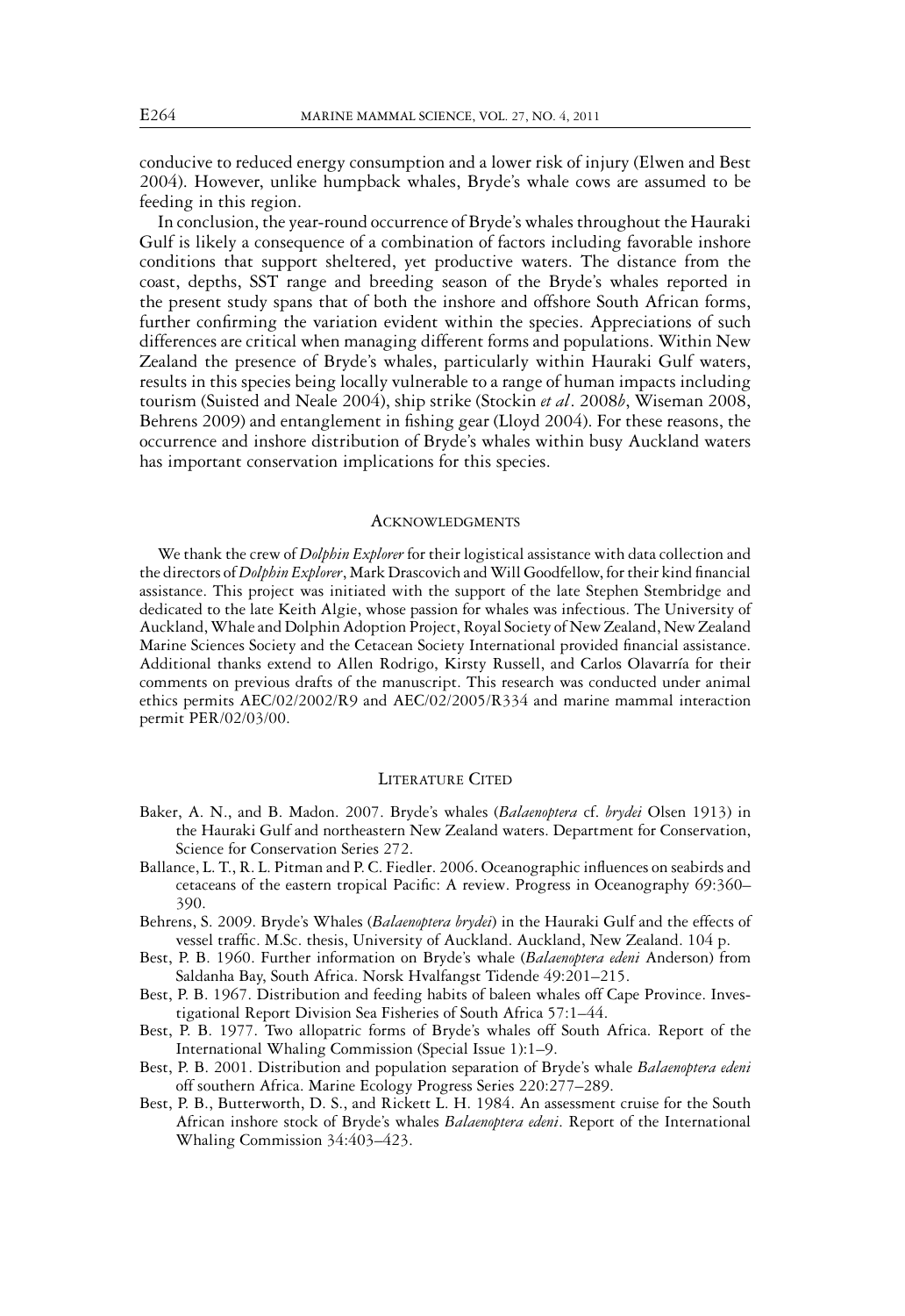conducive to reduced energy consumption and a lower risk of injury (Elwen and Best 2004). However, unlike humpback whales, Bryde's whale cows are assumed to be feeding in this region.

In conclusion, the year-round occurrence of Bryde's whales throughout the Hauraki Gulf is likely a consequence of a combination of factors including favorable inshore conditions that support sheltered, yet productive waters. The distance from the coast, depths, SST range and breeding season of the Bryde's whales reported in the present study spans that of both the inshore and offshore South African forms, further confirming the variation evident within the species. Appreciations of such differences are critical when managing different forms and populations. Within New Zealand the presence of Bryde's whales, particularly within Hauraki Gulf waters, results in this species being locally vulnerable to a range of human impacts including tourism (Suisted and Neale 2004), ship strike (Stockin *et al*. 2008*b*, Wiseman 2008, Behrens 2009) and entanglement in fishing gear (Lloyd 2004). For these reasons, the occurrence and inshore distribution of Bryde's whales within busy Auckland waters has important conservation implications for this species.

#### **ACKNOWLEDGMENTS**

We thank the crew of *Dolphin Explorer* for their logistical assistance with data collection and the directors of *Dolphin Explorer*, Mark Drascovich andWill Goodfellow, for their kind financial assistance. This project was initiated with the support of the late Stephen Stembridge and dedicated to the late Keith Algie, whose passion for whales was infectious. The University of Auckland,Whale and Dolphin Adoption Project, Royal Society of New Zealand, New Zealand Marine Sciences Society and the Cetacean Society International provided financial assistance. Additional thanks extend to Allen Rodrigo, Kirsty Russell, and Carlos Olavarría for their comments on previous drafts of the manuscript. This research was conducted under animal ethics permits AEC/02/2002/R9 and AEC/02/2005/R334 and marine mammal interaction permit PER/02/03/00.

#### LITERATURE CITED

- Baker, A. N., and B. Madon. 2007. Bryde's whales (*Balaenoptera* cf. *brydei* Olsen 1913) in the Hauraki Gulf and northeastern New Zealand waters. Department for Conservation, Science for Conservation Series 272.
- Ballance, L. T., R. L. Pitman and P. C. Fiedler. 2006. Oceanographic influences on seabirds and cetaceans of the eastern tropical Pacific: A review. Progress in Oceanography 69:360– 390.
- Behrens, S. 2009. Bryde's Whales (*Balaenoptera brydei*) in the Hauraki Gulf and the effects of vessel traffic. M.Sc. thesis, University of Auckland. Auckland, New Zealand. 104 p.
- Best, P. B. 1960. Further information on Bryde's whale (*Balaenoptera edeni* Anderson) from Saldanha Bay, South Africa. Norsk Hvalfangst Tidende 49:201–215.
- Best, P. B. 1967. Distribution and feeding habits of baleen whales off Cape Province. Investigational Report Division Sea Fisheries of South Africa 57:1–44.
- Best, P. B. 1977. Two allopatric forms of Bryde's whales off South Africa. Report of the International Whaling Commission (Special Issue 1):1–9.
- Best, P. B. 2001. Distribution and population separation of Bryde's whale *Balaenoptera edeni* off southern Africa. Marine Ecology Progress Series 220:277–289.
- Best, P. B., Butterworth, D. S., and Rickett L. H. 1984. An assessment cruise for the South African inshore stock of Bryde's whales *Balaenoptera edeni*. Report of the International Whaling Commission 34:403–423.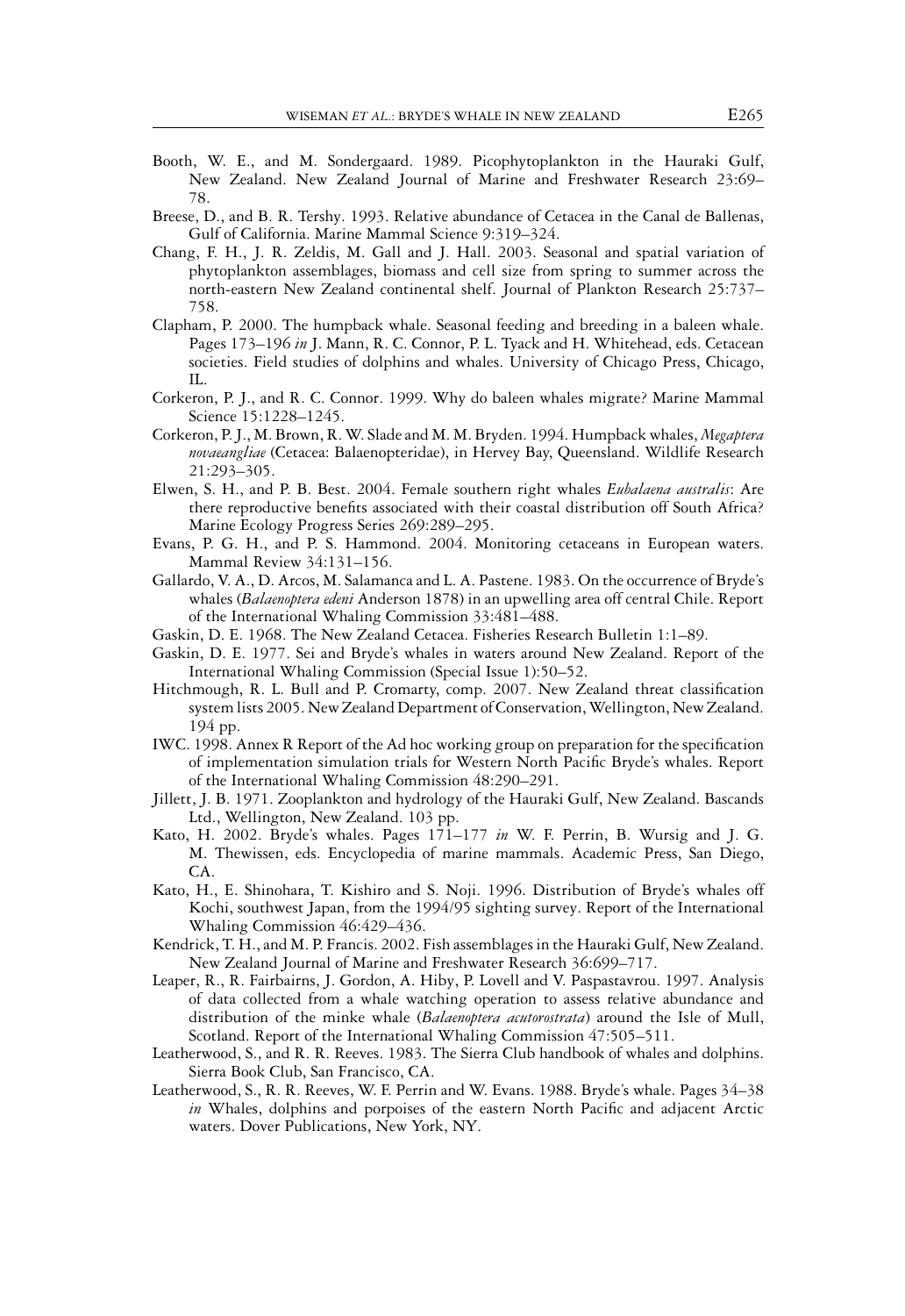- Booth, W. E., and M. Sondergaard. 1989. Picophytoplankton in the Hauraki Gulf, New Zealand. New Zealand Journal of Marine and Freshwater Research 23:69– 78.
- Breese, D., and B. R. Tershy. 1993. Relative abundance of Cetacea in the Canal de Ballenas, Gulf of California. Marine Mammal Science 9:319–324.
- Chang, F. H., J. R. Zeldis, M. Gall and J. Hall. 2003. Seasonal and spatial variation of phytoplankton assemblages, biomass and cell size from spring to summer across the north-eastern New Zealand continental shelf. Journal of Plankton Research 25:737– 758.
- Clapham, P. 2000. The humpback whale. Seasonal feeding and breeding in a baleen whale. Pages 173–196 *in* J. Mann, R. C. Connor, P. L. Tyack and H. Whitehead, eds. Cetacean societies. Field studies of dolphins and whales. University of Chicago Press, Chicago, IL.
- Corkeron, P. J., and R. C. Connor. 1999. Why do baleen whales migrate? Marine Mammal Science 15:1228–1245.
- Corkeron, P. J., M. Brown, R.W. Slade and M. M. Bryden. 1994. Humpback whales, *Megaptera novaeangliae* (Cetacea: Balaenopteridae), in Hervey Bay, Queensland. Wildlife Research 21:293–305.
- Elwen, S. H., and P. B. Best. 2004. Female southern right whales *Eubalaena australis*: Are there reproductive benefits associated with their coastal distribution off South Africa? Marine Ecology Progress Series 269:289–295.
- Evans, P. G. H., and P. S. Hammond. 2004. Monitoring cetaceans in European waters. Mammal Review 34:131–156.
- Gallardo, V. A., D. Arcos, M. Salamanca and L. A. Pastene. 1983. On the occurrence of Bryde's whales (*Balaenoptera edeni* Anderson 1878) in an upwelling area off central Chile. Report of the International Whaling Commission 33:481–488.
- Gaskin, D. E. 1968. The New Zealand Cetacea. Fisheries Research Bulletin 1:1–89.
- Gaskin, D. E. 1977. Sei and Bryde's whales in waters around New Zealand. Report of the International Whaling Commission (Special Issue 1):50–52.
- Hitchmough, R. L. Bull and P. Cromarty, comp. 2007. New Zealand threat classification system lists 2005. New Zealand Department of Conservation, Wellington, New Zealand. 194 pp.
- IWC. 1998. Annex R Report of the Ad hoc working group on preparation for the specification of implementation simulation trials for Western North Pacific Bryde's whales. Report of the International Whaling Commission 48:290–291.
- Jillett, J. B. 1971. Zooplankton and hydrology of the Hauraki Gulf, New Zealand. Bascands Ltd., Wellington, New Zealand. 103 pp.
- Kato, H. 2002. Bryde's whales. Pages 171–177 *in* W. F. Perrin, B. Wursig and J. G. M. Thewissen, eds. Encyclopedia of marine mammals. Academic Press, San Diego, CA.
- Kato, H., E. Shinohara, T. Kishiro and S. Noji. 1996. Distribution of Bryde's whales off Kochi, southwest Japan, from the 1994/95 sighting survey. Report of the International Whaling Commission 46:429–436.
- Kendrick, T. H., and M. P. Francis. 2002. Fish assemblages in the Hauraki Gulf, New Zealand. New Zealand Journal of Marine and Freshwater Research 36:699–717.
- Leaper, R., R. Fairbairns, J. Gordon, A. Hiby, P. Lovell and V. Paspastavrou. 1997. Analysis of data collected from a whale watching operation to assess relative abundance and distribution of the minke whale (*Balaenoptera acutorostrata*) around the Isle of Mull, Scotland. Report of the International Whaling Commission 47:505–511.
- Leatherwood, S., and R. R. Reeves. 1983. The Sierra Club handbook of whales and dolphins. Sierra Book Club, San Francisco, CA.
- Leatherwood, S., R. R. Reeves, W. F. Perrin and W. Evans. 1988. Bryde's whale. Pages 34–38 *in* Whales, dolphins and porpoises of the eastern North Pacific and adjacent Arctic waters. Dover Publications, New York, NY.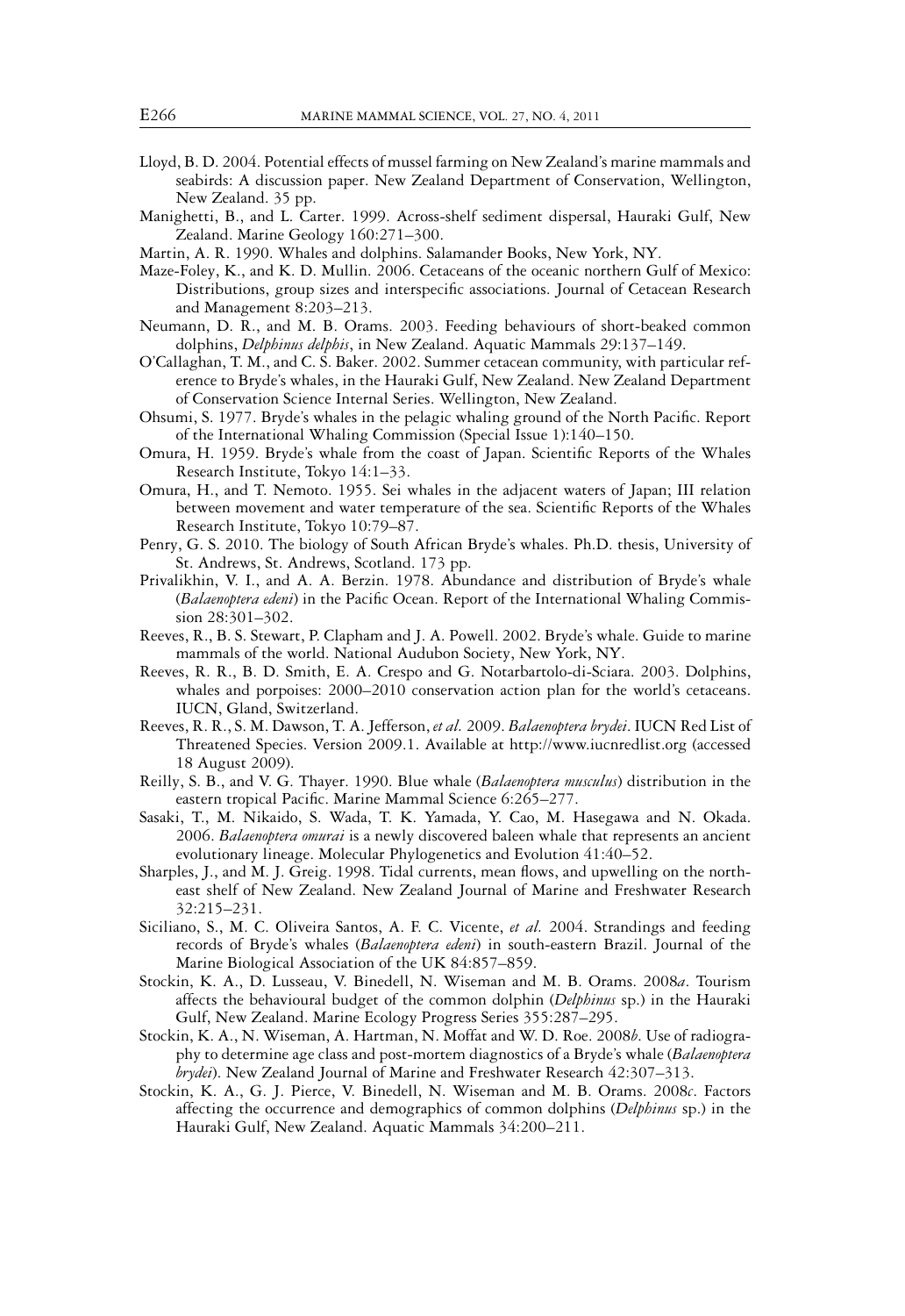- Lloyd, B. D. 2004. Potential effects of mussel farming on New Zealand's marine mammals and seabirds: A discussion paper. New Zealand Department of Conservation, Wellington, New Zealand. 35 pp.
- Manighetti, B., and L. Carter. 1999. Across-shelf sediment dispersal, Hauraki Gulf, New Zealand. Marine Geology 160:271–300.
- Martin, A. R. 1990. Whales and dolphins. Salamander Books, New York, NY.
- Maze-Foley, K., and K. D. Mullin. 2006. Cetaceans of the oceanic northern Gulf of Mexico: Distributions, group sizes and interspecific associations. Journal of Cetacean Research and Management 8:203–213.
- Neumann, D. R., and M. B. Orams. 2003. Feeding behaviours of short-beaked common dolphins, *Delphinus delphis*, in New Zealand. Aquatic Mammals 29:137–149.
- O'Callaghan, T. M., and C. S. Baker. 2002. Summer cetacean community, with particular reference to Bryde's whales, in the Hauraki Gulf, New Zealand. New Zealand Department of Conservation Science Internal Series. Wellington, New Zealand.
- Ohsumi, S. 1977. Bryde's whales in the pelagic whaling ground of the North Pacific. Report of the International Whaling Commission (Special Issue 1):140–150.
- Omura, H. 1959. Bryde's whale from the coast of Japan. Scientific Reports of the Whales Research Institute, Tokyo 14:1–33.
- Omura, H., and T. Nemoto. 1955. Sei whales in the adjacent waters of Japan; III relation between movement and water temperature of the sea. Scientific Reports of the Whales Research Institute, Tokyo 10:79–87.
- Penry, G. S. 2010. The biology of South African Bryde's whales. Ph.D. thesis, University of St. Andrews, St. Andrews, Scotland. 173 pp.
- Privalikhin, V. I., and A. A. Berzin. 1978. Abundance and distribution of Bryde's whale (*Balaenoptera edeni*) in the Pacific Ocean. Report of the International Whaling Commission 28:301–302.
- Reeves, R., B. S. Stewart, P. Clapham and J. A. Powell. 2002. Bryde's whale. Guide to marine mammals of the world. National Audubon Society, New York, NY.
- Reeves, R. R., B. D. Smith, E. A. Crespo and G. Notarbartolo-di-Sciara. 2003. Dolphins, whales and porpoises: 2000–2010 conservation action plan for the world's cetaceans. IUCN, Gland, Switzerland.
- Reeves, R. R., S. M. Dawson, T. A. Jefferson, *et al.* 2009. *Balaenoptera brydei*. IUCN Red List of Threatened Species. Version 2009.1. Available at http://www.iucnredlist.org (accessed 18 August 2009).
- Reilly, S. B., and V. G. Thayer. 1990. Blue whale (*Balaenoptera musculus*) distribution in the eastern tropical Pacific. Marine Mammal Science 6:265–277.
- Sasaki, T., M. Nikaido, S. Wada, T. K. Yamada, Y. Cao, M. Hasegawa and N. Okada. 2006. *Balaenoptera omurai* is a newly discovered baleen whale that represents an ancient evolutionary lineage. Molecular Phylogenetics and Evolution 41:40–52.
- Sharples, J., and M. J. Greig. 1998. Tidal currents, mean flows, and upwelling on the northeast shelf of New Zealand. New Zealand Journal of Marine and Freshwater Research 32:215–231.
- Siciliano, S., M. C. Oliveira Santos, A. F. C. Vicente, *et al.* 2004. Strandings and feeding records of Bryde's whales (*Balaenoptera edeni*) in south-eastern Brazil. Journal of the Marine Biological Association of the UK 84:857–859.
- Stockin, K. A., D. Lusseau, V. Binedell, N. Wiseman and M. B. Orams. 2008*a*. Tourism affects the behavioural budget of the common dolphin (*Delphinus* sp.) in the Hauraki Gulf, New Zealand. Marine Ecology Progress Series 355:287–295.
- Stockin, K. A., N. Wiseman, A. Hartman, N. Moffat and W. D. Roe. 2008*b*. Use of radiography to determine age class and post-mortem diagnostics of a Bryde's whale (*Balaenoptera brydei*). New Zealand Journal of Marine and Freshwater Research 42:307–313.
- Stockin, K. A., G. J. Pierce, V. Binedell, N. Wiseman and M. B. Orams. 2008*c*. Factors affecting the occurrence and demographics of common dolphins (*Delphinus* sp.) in the Hauraki Gulf, New Zealand. Aquatic Mammals 34:200–211.